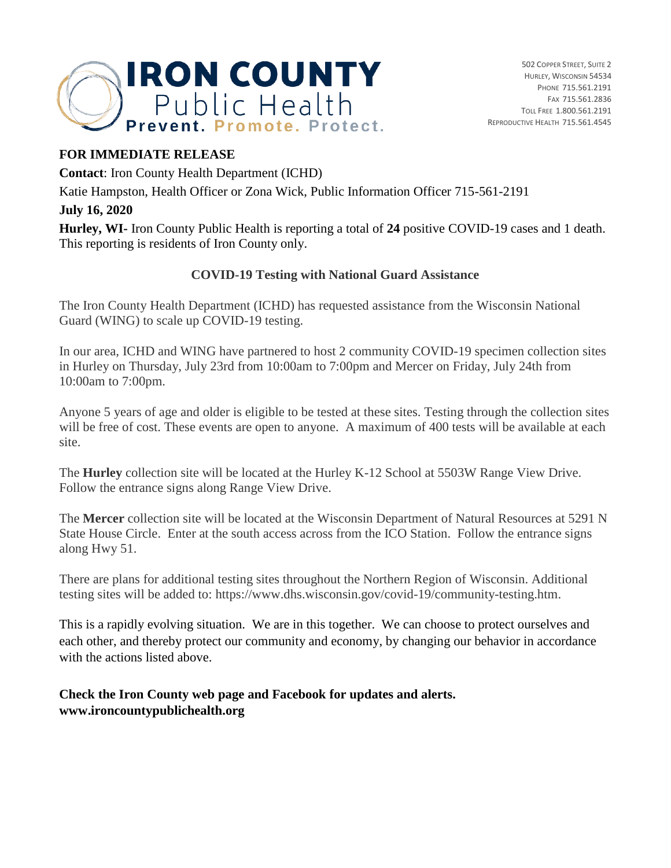

### **FOR IMMEDIATE RELEASE**

**Contact**: Iron County Health Department (ICHD)

Katie Hampston, Health Officer or Zona Wick, Public Information Officer 715-561-2191

### **July 16, 2020**

**Hurley, WI-** Iron County Public Health is reporting a total of **24** positive COVID-19 cases and 1 death. This reporting is residents of Iron County only.

## **COVID-19 Testing with National Guard Assistance**

The Iron County Health Department (ICHD) has requested assistance from the Wisconsin National Guard (WING) to scale up COVID-19 testing.

In our area, ICHD and WING have partnered to host 2 community COVID-19 specimen collection sites in Hurley on Thursday, July 23rd from 10:00am to 7:00pm and Mercer on Friday, July 24th from 10:00am to 7:00pm.

Anyone 5 years of age and older is eligible to be tested at these sites. Testing through the collection sites will be free of cost. These events are open to anyone. A maximum of 400 tests will be available at each site.

The **Hurley** collection site will be located at the Hurley K-12 School at 5503W Range View Drive. Follow the entrance signs along Range View Drive.

The **Mercer** collection site will be located at the Wisconsin Department of Natural Resources at 5291 N State House Circle. Enter at the south access across from the ICO Station. Follow the entrance signs along Hwy 51.

There are plans for additional testing sites throughout the Northern Region of Wisconsin. Additional testing sites will be added to: https://www.dhs.wisconsin.gov/covid-19/community-testing.htm.

This is a rapidly evolving situation. We are in this together. We can choose to protect ourselves and each other, and thereby protect our community and economy, by changing our behavior in accordance with the actions listed above.

## **Check the Iron County web page and Facebook for updates and alerts. www.ironcountypublichealth.org**